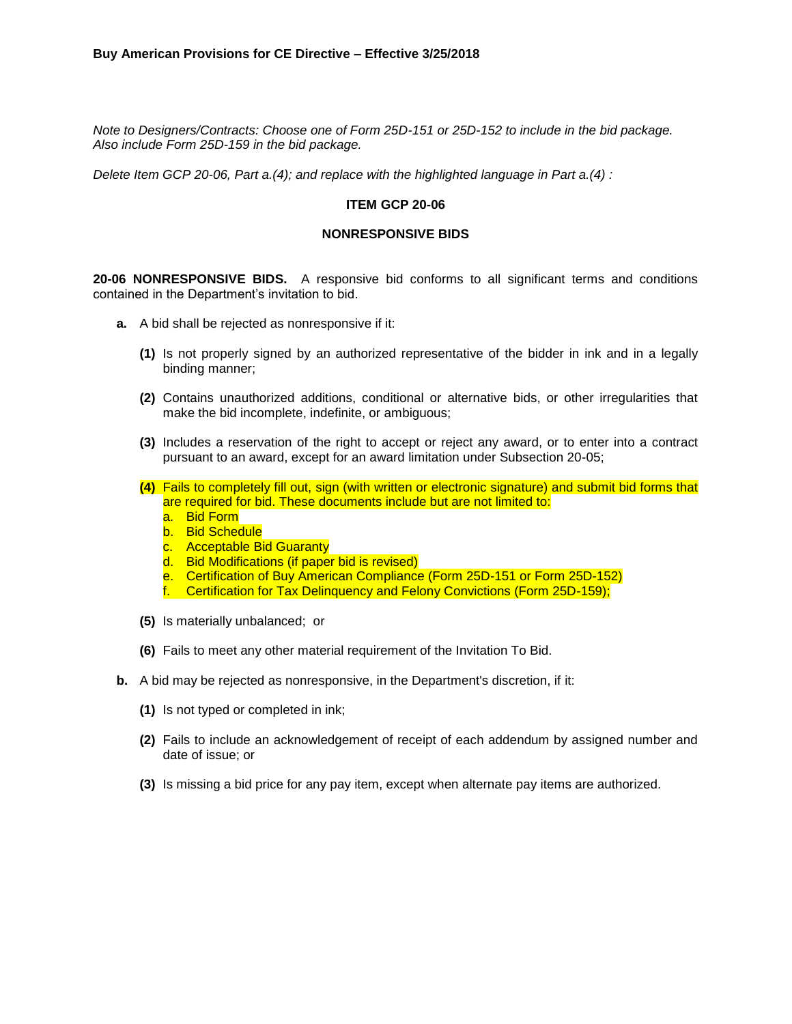*Note to Designers/Contracts: Choose one of Form 25D-151 or 25D-152 to include in the bid package. Also include Form 25D-159 in the bid package.*

*Delete Item GCP 20-06, Part a.(4); and replace with the highlighted language in Part a.(4) :* 

#### **ITEM GCP 20-06**

## **NONRESPONSIVE BIDS**

**20-06 NONRESPONSIVE BIDS.** A responsive bid conforms to all significant terms and conditions contained in the Department's invitation to bid.

- **a.** A bid shall be rejected as nonresponsive if it:
	- **(1)** Is not properly signed by an authorized representative of the bidder in ink and in a legally binding manner;
	- **(2)** Contains unauthorized additions, conditional or alternative bids, or other irregularities that make the bid incomplete, indefinite, or ambiguous;
	- **(3)** Includes a reservation of the right to accept or reject any award, or to enter into a contract pursuant to an award, except for an award limitation under Subsection 20-05;
	- **(4)** Fails to completely fill out, sign (with written or electronic signature) and submit bid forms that are required for bid. These documents include but are not limited to:
		- a. Bid Form
		- b. Bid Schedule
		- c. Acceptable Bid Guaranty
		- d. Bid Modifications (if paper bid is revised)
		- e. Certification of Buy American Compliance (Form 25D-151 or Form 25D-152)
		- f. Certification for Tax Delinquency and Felony Convictions (Form 25D-159);
	- **(5)** Is materially unbalanced; or
	- **(6)** Fails to meet any other material requirement of the Invitation To Bid.
- **b.** A bid may be rejected as nonresponsive, in the Department's discretion, if it:
	- **(1)** Is not typed or completed in ink;
	- **(2)** Fails to include an acknowledgement of receipt of each addendum by assigned number and date of issue; or
	- **(3)** Is missing a bid price for any pay item, except when alternate pay items are authorized.